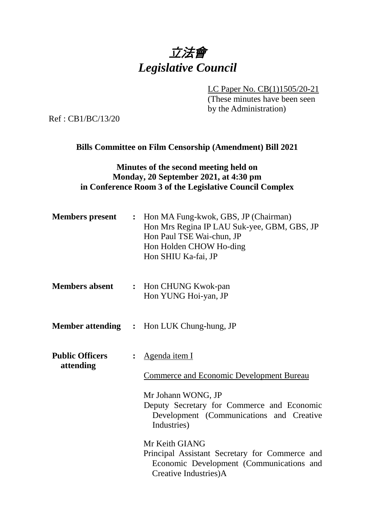## 立法會 *Legislative Council*

LC Paper No. CB(1)1505/20-21

(These minutes have been seen by the Administration)

Ref : CB1/BC/13/20

### **Bills Committee on Film Censorship (Amendment) Bill 2021**

#### **Minutes of the second meeting held on Monday, 20 September 2021, at 4:30 pm in Conference Room 3 of the Legislative Council Complex**

| <b>Members present</b>              | : Hon MA Fung-kwok, GBS, JP (Chairman)<br>Hon Mrs Regina IP LAU Suk-yee, GBM, GBS, JP<br>Hon Paul TSE Wai-chun, JP<br>Hon Holden CHOW Ho-ding<br>Hon SHIU Ka-fai, JP |
|-------------------------------------|----------------------------------------------------------------------------------------------------------------------------------------------------------------------|
| <b>Members absent</b>               | : Hon CHUNG Kwok-pan<br>Hon YUNG Hoi-yan, JP                                                                                                                         |
|                                     | <b>Member attending : Hon LUK Chung-hung, JP</b>                                                                                                                     |
| <b>Public Officers</b><br>attending | Agenda item I<br><b>Commerce and Economic Development Bureau</b>                                                                                                     |
|                                     | Mr Johann WONG, JP<br>Deputy Secretary for Commerce and Economic<br>Development (Communications and Creative<br>Industries)                                          |
|                                     | Mr Keith GIANG<br>Principal Assistant Secretary for Commerce and<br>Economic Development (Communications and<br>Creative Industries)A                                |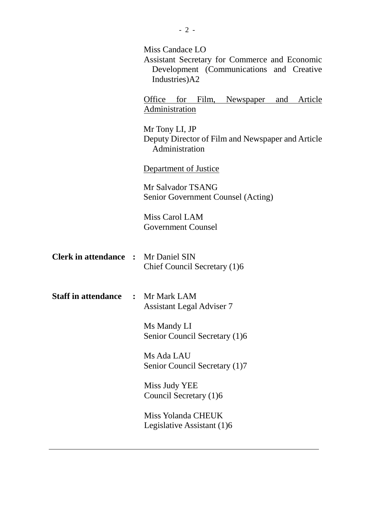|                                            | Miss Candace LO<br>Assistant Secretary for Commerce and Economic<br>Development (Communications and Creative<br>Industries)A2 |
|--------------------------------------------|-------------------------------------------------------------------------------------------------------------------------------|
|                                            | Office for<br>Film, Newspaper<br>Article<br>and<br>Administration                                                             |
|                                            | Mr Tony LI, JP<br>Deputy Director of Film and Newspaper and Article<br>Administration                                         |
|                                            | Department of Justice                                                                                                         |
|                                            | Mr Salvador TSANG<br>Senior Government Counsel (Acting)                                                                       |
|                                            | Miss Carol LAM<br><b>Government Counsel</b>                                                                                   |
| <b>Clerk in attendance : Mr Daniel SIN</b> | Chief Council Secretary (1)6                                                                                                  |
| <b>Staff in attendance : Mr Mark LAM</b>   | <b>Assistant Legal Adviser 7</b>                                                                                              |
|                                            | Ms Mandy LI<br>Senior Council Secretary (1)6                                                                                  |
|                                            | Ms Ada LAU<br>Senior Council Secretary (1)7                                                                                   |
|                                            | Miss Judy YEE<br>Council Secretary (1)6                                                                                       |
|                                            | Miss Yolanda CHEUK<br>Legislative Assistant (1)6                                                                              |
|                                            |                                                                                                                               |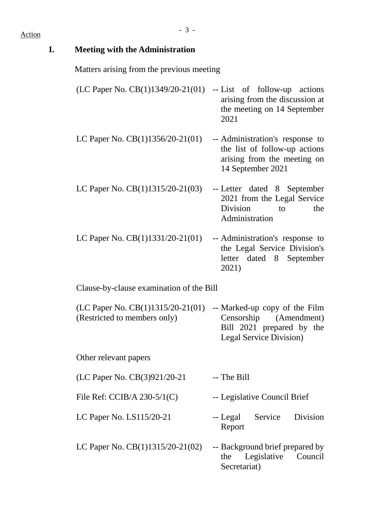# - <sup>3</sup> - Action

| I. | <b>Meeting with the Administration</b>                                                              |                                                                                                                      |
|----|-----------------------------------------------------------------------------------------------------|----------------------------------------------------------------------------------------------------------------------|
|    | Matters arising from the previous meeting                                                           |                                                                                                                      |
|    | (LC Paper No. $CB(1)1349/20-21(01)$                                                                 | -- List of follow-up actions<br>arising from the discussion at<br>the meeting on 14 September<br>2021                |
|    | LC Paper No. $CB(1)1356/20-21(01)$                                                                  | -- Administration's response to<br>the list of follow-up actions<br>arising from the meeting on<br>14 September 2021 |
|    | LC Paper No. $CB(1)1315/20-21(03)$                                                                  | -- Letter dated 8 September<br>2021 from the Legal Service<br><b>Division</b><br>the<br>to<br>Administration         |
|    | LC Paper No. $CB(1)1331/20-21(01)$                                                                  | -- Administration's response to<br>the Legal Service Division's<br>letter dated 8 September<br>2021)                 |
|    | Clause-by-clause examination of the Bill                                                            |                                                                                                                      |
|    | $(LC$ Paper No. $CB(1)1315/20-21(01)$ -- Marked-up copy of the Film<br>(Restricted to members only) | Censorship (Amendment)<br>Bill 2021 prepared by the<br>Legal Service Division)                                       |
|    | Other relevant papers                                                                               |                                                                                                                      |
|    | (LC Paper No. CB(3)921/20-21                                                                        | -- The Bill                                                                                                          |
|    | File Ref: CCIB/A $230-5/1(C)$                                                                       | -- Legislative Council Brief                                                                                         |
|    | LC Paper No. LS115/20-21                                                                            | Division<br>-- Legal<br>Service<br>Report                                                                            |
|    | LC Paper No. $CB(1)1315/20-21(02)$                                                                  | -- Background brief prepared by<br>Legislative<br>Council<br>the<br>Secretariat)                                     |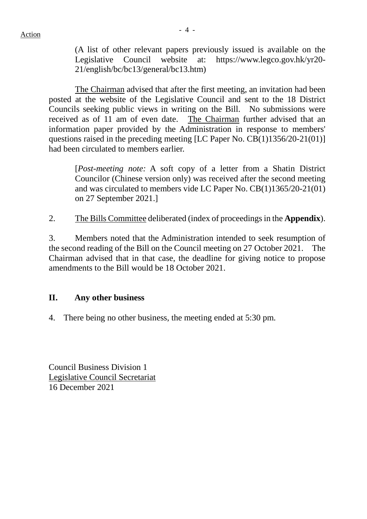(A list of other relevant papers previously issued is available on the Legislative Council website at: https://www.legco.gov.hk/yr20- 21/english/bc/bc13/general/bc13.htm)

The Chairman advised that after the first meeting, an invitation had been posted at the website of the Legislative Council and sent to the 18 District Councils seeking public views in writing on the Bill. No submissions were received as of 11 am of even date. The Chairman further advised that an information paper provided by the Administration in response to members' questions raised in the preceding meeting [LC Paper No. CB(1)1356/20-21(01)] had been circulated to members earlier.

[*Post-meeting note:* A soft copy of a letter from a Shatin District Councilor (Chinese version only) was received after the second meeting and was circulated to members vide LC Paper No. CB(1)1365/20-21(01) on 27 September 2021.]

2. The Bills Committee deliberated (index of proceedings in the **Appendix**).

3. Members noted that the Administration intended to seek resumption of the second reading of the Bill on the Council meeting on 27 October 2021. The Chairman advised that in that case, the deadline for giving notice to propose amendments to the Bill would be 18 October 2021.

#### **II. Any other business**

4. There being no other business, the meeting ended at 5:30 pm.

Council Business Division 1 Legislative Council Secretariat 16 December 2021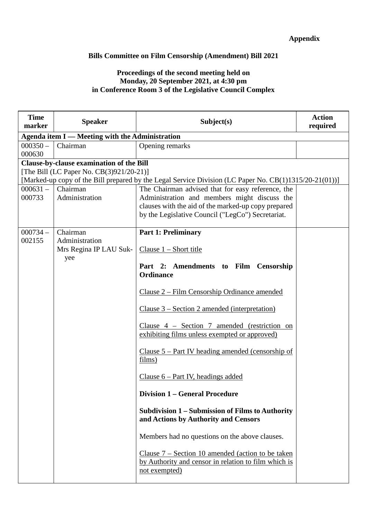#### **Appendix**

#### **Bills Committee on Film Censorship (Amendment) Bill 2021**

#### **Proceedings of the second meeting held on Monday, 20 September 2021, at 4:30 pm in Conference Room 3 of the Legislative Council Complex**

| <b>Time</b><br>marker | <b>Speaker</b>                                  | Subject(s)                                                                                                                          | <b>Action</b><br>required |
|-----------------------|-------------------------------------------------|-------------------------------------------------------------------------------------------------------------------------------------|---------------------------|
|                       | Agenda item I — Meeting with the Administration |                                                                                                                                     |                           |
| $000350 -$            | Chairman                                        | Opening remarks                                                                                                                     |                           |
| 000630                |                                                 |                                                                                                                                     |                           |
|                       | Clause-by-clause examination of the Bill        |                                                                                                                                     |                           |
|                       | [The Bill (LC Paper No. CB(3)921/20-21)]        |                                                                                                                                     |                           |
|                       |                                                 | [Marked-up copy of the Bill prepared by the Legal Service Division (LC Paper No. CB(1)1315/20-21(01))]                              |                           |
| $000631 -$            | Chairman                                        | The Chairman advised that for easy reference, the                                                                                   |                           |
| 000733                | Administration                                  | Administration and members might discuss the                                                                                        |                           |
|                       |                                                 | clauses with the aid of the marked-up copy prepared<br>by the Legislative Council ("LegCo") Secretariat.                            |                           |
|                       |                                                 |                                                                                                                                     |                           |
| $000734 -$            | Chairman                                        | <b>Part 1: Preliminary</b>                                                                                                          |                           |
| 002155                | Administration                                  |                                                                                                                                     |                           |
|                       | Mrs Regina IP LAU Suk-                          | Clause $1 -$ Short title                                                                                                            |                           |
|                       | yee                                             |                                                                                                                                     |                           |
|                       |                                                 | Part 2: Amendments to Film Censorship                                                                                               |                           |
|                       |                                                 | <b>Ordinance</b>                                                                                                                    |                           |
|                       |                                                 | Clause 2 – Film Censorship Ordinance amended                                                                                        |                           |
|                       |                                                 |                                                                                                                                     |                           |
|                       |                                                 | <u> Clause 3 – Section 2 amended (interpretation)</u>                                                                               |                           |
|                       |                                                 | Clause $4$ – Section 7 amended (restriction on                                                                                      |                           |
|                       |                                                 | exhibiting films unless exempted or approved)                                                                                       |                           |
|                       |                                                 | Clause $5$ – Part IV heading amended (censorship of                                                                                 |                           |
|                       |                                                 | fillms)                                                                                                                             |                           |
|                       |                                                 | Clause $6$ – Part IV, headings added                                                                                                |                           |
|                       |                                                 | <b>Division 1 – General Procedure</b>                                                                                               |                           |
|                       |                                                 | Subdivision 1 - Submission of Films to Authority<br>and Actions by Authority and Censors                                            |                           |
|                       |                                                 | Members had no questions on the above clauses.                                                                                      |                           |
|                       |                                                 | Clause $7 -$ Section 10 amended (action to be taken<br>by Authority and censor in relation to film which is<br><u>not exempted)</u> |                           |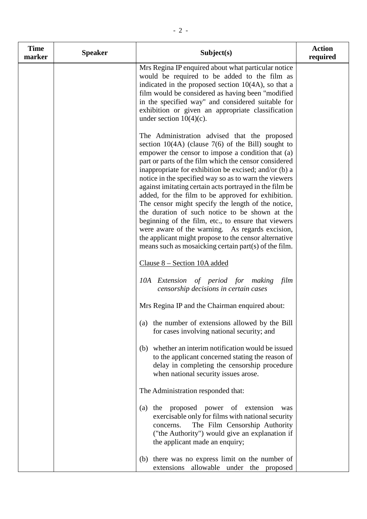| <b>Time</b><br>marker | <b>Speaker</b> | Subject(s)                                                                                                                                                                                                                                                                                                                                                                                                                                                                                                                                                                                                                                                                                                                                                                                | <b>Action</b><br>required |
|-----------------------|----------------|-------------------------------------------------------------------------------------------------------------------------------------------------------------------------------------------------------------------------------------------------------------------------------------------------------------------------------------------------------------------------------------------------------------------------------------------------------------------------------------------------------------------------------------------------------------------------------------------------------------------------------------------------------------------------------------------------------------------------------------------------------------------------------------------|---------------------------|
|                       |                | Mrs Regina IP enquired about what particular notice<br>would be required to be added to the film as<br>indicated in the proposed section $10(4A)$ , so that a<br>film would be considered as having been "modified<br>in the specified way" and considered suitable for<br>exhibition or given an appropriate classification<br>under section $10(4)(c)$ .                                                                                                                                                                                                                                                                                                                                                                                                                                |                           |
|                       |                | The Administration advised that the proposed<br>section $10(4A)$ (clause 7(6) of the Bill) sought to<br>empower the censor to impose a condition that (a)<br>part or parts of the film which the censor considered<br>inappropriate for exhibition be excised; and/or (b) a<br>notice in the specified way so as to warn the viewers<br>against imitating certain acts portrayed in the film be<br>added, for the film to be approved for exhibition.<br>The censor might specify the length of the notice,<br>the duration of such notice to be shown at the<br>beginning of the film, etc., to ensure that viewers<br>were aware of the warning. As regards excision,<br>the applicant might propose to the censor alternative<br>means such as mosaicking certain part(s) of the film. |                           |
|                       |                | <u>Clause 8 – Section 10A added</u>                                                                                                                                                                                                                                                                                                                                                                                                                                                                                                                                                                                                                                                                                                                                                       |                           |
|                       |                | 10A Extension of period for making<br>film<br>censorship decisions in certain cases                                                                                                                                                                                                                                                                                                                                                                                                                                                                                                                                                                                                                                                                                                       |                           |
|                       |                | Mrs Regina IP and the Chairman enquired about:                                                                                                                                                                                                                                                                                                                                                                                                                                                                                                                                                                                                                                                                                                                                            |                           |
|                       |                | the number of extensions allowed by the Bill<br>(a)<br>for cases involving national security; and                                                                                                                                                                                                                                                                                                                                                                                                                                                                                                                                                                                                                                                                                         |                           |
|                       |                | whether an interim notification would be issued<br>(b)<br>to the applicant concerned stating the reason of<br>delay in completing the censorship procedure<br>when national security issues arose.                                                                                                                                                                                                                                                                                                                                                                                                                                                                                                                                                                                        |                           |
|                       |                | The Administration responded that:                                                                                                                                                                                                                                                                                                                                                                                                                                                                                                                                                                                                                                                                                                                                                        |                           |
|                       |                | proposed<br>power of extension<br>(a)<br>the<br>was<br>exercisable only for films with national security<br>The Film Censorship Authority<br>concerns.<br>("the Authority") would give an explanation if<br>the applicant made an enquiry;                                                                                                                                                                                                                                                                                                                                                                                                                                                                                                                                                |                           |
|                       |                | there was no express limit on the number of<br>(b)<br>extensions allowable under the proposed                                                                                                                                                                                                                                                                                                                                                                                                                                                                                                                                                                                                                                                                                             |                           |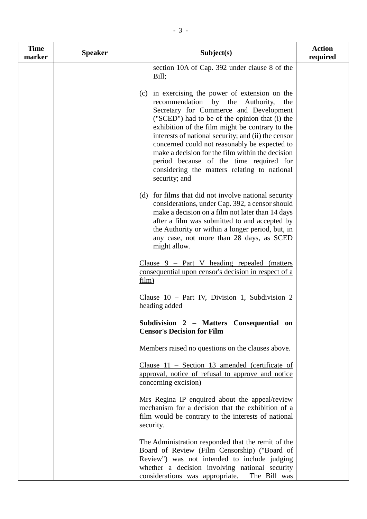| <b>Time</b><br>marker | <b>Speaker</b> | Subject(s)                                                                                                                                                                                                                                                                                                                                                                                                                                                                                                              | <b>Action</b><br>required |
|-----------------------|----------------|-------------------------------------------------------------------------------------------------------------------------------------------------------------------------------------------------------------------------------------------------------------------------------------------------------------------------------------------------------------------------------------------------------------------------------------------------------------------------------------------------------------------------|---------------------------|
|                       |                | section 10A of Cap. 392 under clause 8 of the<br>Bill;                                                                                                                                                                                                                                                                                                                                                                                                                                                                  |                           |
|                       |                | in exercising the power of extension on the<br>(c)<br>recommendation by the<br>Authority,<br>the<br>Secretary for Commerce and Development<br>("SCED") had to be of the opinion that (i) the<br>exhibition of the film might be contrary to the<br>interests of national security; and (ii) the censor<br>concerned could not reasonably be expected to<br>make a decision for the film within the decision<br>period because of the time required for<br>considering the matters relating to national<br>security; and |                           |
|                       |                | for films that did not involve national security<br>(d)<br>considerations, under Cap. 392, a censor should<br>make a decision on a film not later than 14 days<br>after a film was submitted to and accepted by<br>the Authority or within a longer period, but, in<br>any case, not more than 28 days, as SCED<br>might allow.                                                                                                                                                                                         |                           |
|                       |                | Clause $9$ – Part V heading repealed (matters<br>consequential upon censor's decision in respect of a<br>film)                                                                                                                                                                                                                                                                                                                                                                                                          |                           |
|                       |                | Clause 10 - Part IV, Division 1, Subdivision 2<br>heading added                                                                                                                                                                                                                                                                                                                                                                                                                                                         |                           |
|                       |                | Subdivision 2 - Matters Consequential on<br><b>Censor's Decision for Film</b>                                                                                                                                                                                                                                                                                                                                                                                                                                           |                           |
|                       |                | Members raised no questions on the clauses above.                                                                                                                                                                                                                                                                                                                                                                                                                                                                       |                           |
|                       |                | Clause $11$ – Section 13 amended (certificate of<br>approval, notice of refusal to approve and notice<br>concerning excision)                                                                                                                                                                                                                                                                                                                                                                                           |                           |
|                       |                | Mrs Regina IP enquired about the appeal/review<br>mechanism for a decision that the exhibition of a<br>film would be contrary to the interests of national<br>security.                                                                                                                                                                                                                                                                                                                                                 |                           |
|                       |                | The Administration responded that the remit of the<br>Board of Review (Film Censorship) ("Board of<br>Review") was not intended to include judging<br>whether a decision involving national security<br>considerations was appropriate.<br>The Bill was                                                                                                                                                                                                                                                                 |                           |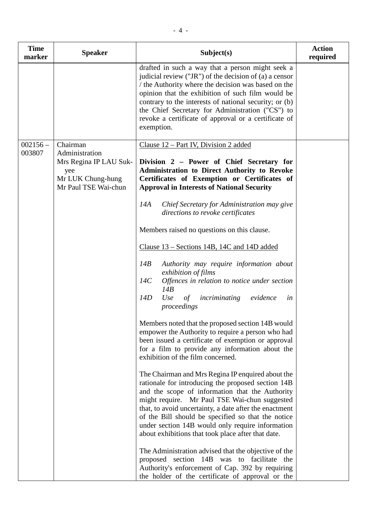| <b>Time</b><br>marker | <b>Speaker</b>                                                                                           | Subject(s)                                                                                                                                                                                                                                                                                                                                                                                                                            | <b>Action</b><br>required |
|-----------------------|----------------------------------------------------------------------------------------------------------|---------------------------------------------------------------------------------------------------------------------------------------------------------------------------------------------------------------------------------------------------------------------------------------------------------------------------------------------------------------------------------------------------------------------------------------|---------------------------|
|                       |                                                                                                          | drafted in such a way that a person might seek a<br>judicial review ("JR") of the decision of (a) a censor<br>the Authority where the decision was based on the<br>opinion that the exhibition of such film would be<br>contrary to the interests of national security; or (b)<br>the Chief Secretary for Administration ("CS") to<br>revoke a certificate of approval or a certificate of<br>exemption.                              |                           |
| $002156 -$<br>003807  | Chairman<br>Administration<br>Mrs Regina IP LAU Suk-<br>yee<br>Mr LUK Chung-hung<br>Mr Paul TSE Wai-chun | Clause 12 – Part IV, Division 2 added<br>Division 2 - Power of Chief Secretary for<br><b>Administration to Direct Authority to Revoke</b><br>Certificates of Exemption or Certificates of<br><b>Approval in Interests of National Security</b>                                                                                                                                                                                        |                           |
|                       |                                                                                                          | 14A<br>Chief Secretary for Administration may give<br>directions to revoke certificates                                                                                                                                                                                                                                                                                                                                               |                           |
|                       |                                                                                                          | Members raised no questions on this clause.                                                                                                                                                                                                                                                                                                                                                                                           |                           |
|                       |                                                                                                          | Clause 13 – Sections 14B, 14C and 14D added<br>14B<br>Authority may require information about<br>exhibition of films<br>Offences in relation to notice under section<br>14C<br>14B<br>14D<br>evidence<br>Use<br>incriminating<br>$\sigma f$<br>in<br>proceedings                                                                                                                                                                      |                           |
|                       |                                                                                                          | Members noted that the proposed section 14B would<br>empower the Authority to require a person who had<br>been issued a certificate of exemption or approval<br>for a film to provide any information about the<br>exhibition of the film concerned.                                                                                                                                                                                  |                           |
|                       |                                                                                                          | The Chairman and Mrs Regina IP enquired about the<br>rationale for introducing the proposed section 14B<br>and the scope of information that the Authority<br>might require. Mr Paul TSE Wai-chun suggested<br>that, to avoid uncertainty, a date after the enactment<br>of the Bill should be specified so that the notice<br>under section 14B would only require information<br>about exhibitions that took place after that date. |                           |
|                       |                                                                                                          | The Administration advised that the objective of the<br>proposed section 14B was to facilitate the<br>Authority's enforcement of Cap. 392 by requiring<br>the holder of the certificate of approval or the                                                                                                                                                                                                                            |                           |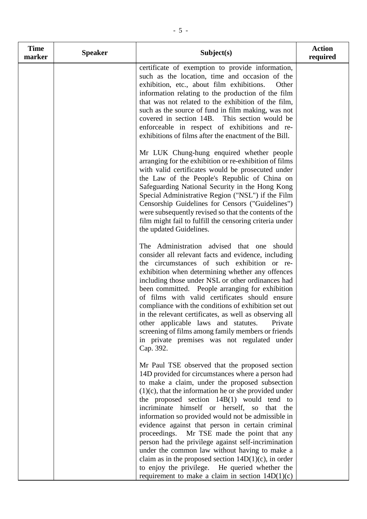| <b>Time</b><br>marker | <b>Speaker</b> | Subject(s)                                                                                                                                                                                                                                                                                                                                                                                                                                                                                                                                                                                                                                                                                                                                          | <b>Action</b><br>required |
|-----------------------|----------------|-----------------------------------------------------------------------------------------------------------------------------------------------------------------------------------------------------------------------------------------------------------------------------------------------------------------------------------------------------------------------------------------------------------------------------------------------------------------------------------------------------------------------------------------------------------------------------------------------------------------------------------------------------------------------------------------------------------------------------------------------------|---------------------------|
|                       |                | certificate of exemption to provide information,<br>such as the location, time and occasion of the<br>exhibition, etc., about film exhibitions.<br>Other<br>information relating to the production of the film<br>that was not related to the exhibition of the film,<br>such as the source of fund in film making, was not<br>covered in section 14B. This section would be<br>enforceable in respect of exhibitions and re-<br>exhibitions of films after the enactment of the Bill.                                                                                                                                                                                                                                                              |                           |
|                       |                | Mr LUK Chung-hung enquired whether people<br>arranging for the exhibition or re-exhibition of films<br>with valid certificates would be prosecuted under<br>the Law of the People's Republic of China on<br>Safeguarding National Security in the Hong Kong<br>Special Administrative Region ("NSL") if the Film<br>Censorship Guidelines for Censors ("Guidelines")<br>were subsequently revised so that the contents of the<br>film might fail to fulfill the censoring criteria under<br>the updated Guidelines.                                                                                                                                                                                                                                 |                           |
|                       |                | The Administration advised that one<br>should<br>consider all relevant facts and evidence, including<br>the circumstances of such exhibition or re-<br>exhibition when determining whether any offences<br>including those under NSL or other ordinances had<br>been committed. People arranging for exhibition<br>of films with valid certificates should ensure<br>compliance with the conditions of exhibition set out<br>in the relevant certificates, as well as observing all<br>other applicable laws and statutes.<br>Private<br>screening of films among family members or friends<br>in private premises was not regulated under<br>Cap. 392.                                                                                             |                           |
|                       |                | Mr Paul TSE observed that the proposed section<br>14D provided for circumstances where a person had<br>to make a claim, under the proposed subsection<br>$(1)(c)$ , that the information he or she provided under<br>the proposed section $14B(1)$ would tend to<br>incriminate himself or herself, so that the<br>information so provided would not be admissible in<br>evidence against that person in certain criminal<br>proceedings. Mr TSE made the point that any<br>person had the privilege against self-incrimination<br>under the common law without having to make a<br>claim as in the proposed section $14D(1)(c)$ , in order<br>to enjoy the privilege. He queried whether the<br>requirement to make a claim in section $14D(1)(c)$ |                           |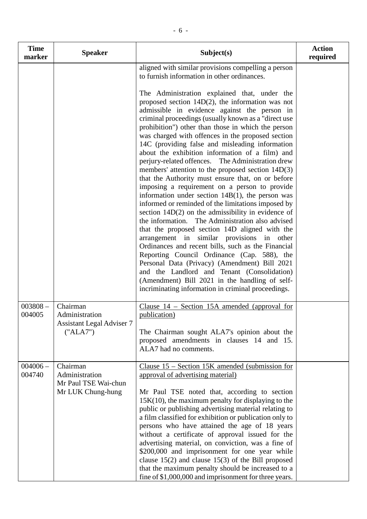| <b>Time</b><br>marker | <b>Speaker</b>                                                             | Subject(s)                                                                                                                                                                                                                                                                                                                                                                                                                                                                                                                                                                                                                                                                                                                                                                                                                                                                                                                                                                                                                                                                                                                                                                                                                                                                                                                                                                               | <b>Action</b><br>required |
|-----------------------|----------------------------------------------------------------------------|------------------------------------------------------------------------------------------------------------------------------------------------------------------------------------------------------------------------------------------------------------------------------------------------------------------------------------------------------------------------------------------------------------------------------------------------------------------------------------------------------------------------------------------------------------------------------------------------------------------------------------------------------------------------------------------------------------------------------------------------------------------------------------------------------------------------------------------------------------------------------------------------------------------------------------------------------------------------------------------------------------------------------------------------------------------------------------------------------------------------------------------------------------------------------------------------------------------------------------------------------------------------------------------------------------------------------------------------------------------------------------------|---------------------------|
|                       |                                                                            | aligned with similar provisions compelling a person<br>to furnish information in other ordinances.<br>The Administration explained that, under the<br>proposed section $14D(2)$ , the information was not<br>admissible in evidence against the person in<br>criminal proceedings (usually known as a "direct use<br>prohibition") other than those in which the person<br>was charged with offences in the proposed section<br>14C (providing false and misleading information<br>about the exhibition information of a film) and<br>perjury-related offences. The Administration drew<br>members' attention to the proposed section 14D(3)<br>that the Authority must ensure that, on or before<br>imposing a requirement on a person to provide<br>information under section $14B(1)$ , the person was<br>informed or reminded of the limitations imposed by<br>section $14D(2)$ on the admissibility in evidence of<br>the information. The Administration also advised<br>that the proposed section 14D aligned with the<br>arrangement in similar provisions in other<br>Ordinances and recent bills, such as the Financial<br>Reporting Council Ordinance (Cap. 588), the<br>Personal Data (Privacy) (Amendment) Bill 2021<br>and the Landlord and Tenant (Consolidation)<br>(Amendment) Bill 2021 in the handling of self-<br>incriminating information in criminal proceedings. |                           |
| $003808 -$<br>004005  | Chairman<br>Administration<br><b>Assistant Legal Adviser 7</b><br>("ALA7") | Clause $14$ – Section 15A amended (approval for<br>publication)<br>The Chairman sought ALA7's opinion about the<br>proposed amendments in clauses 14 and 15.<br>ALA7 had no comments.                                                                                                                                                                                                                                                                                                                                                                                                                                                                                                                                                                                                                                                                                                                                                                                                                                                                                                                                                                                                                                                                                                                                                                                                    |                           |
| $004006 -$<br>004740  | Chairman<br>Administration<br>Mr Paul TSE Wai-chun<br>Mr LUK Chung-hung    | Clause $15$ – Section 15K amended (submission for<br>approval of advertising material)<br>Mr Paul TSE noted that, according to section<br>$15K(10)$ , the maximum penalty for displaying to the<br>public or publishing advertising material relating to<br>a film classified for exhibition or publication only to<br>persons who have attained the age of 18 years<br>without a certificate of approval issued for the<br>advertising material, on conviction, was a fine of<br>\$200,000 and imprisonment for one year while<br>clause $15(2)$ and clause $15(3)$ of the Bill proposed<br>that the maximum penalty should be increased to a<br>fine of \$1,000,000 and imprisonment for three years.                                                                                                                                                                                                                                                                                                                                                                                                                                                                                                                                                                                                                                                                                  |                           |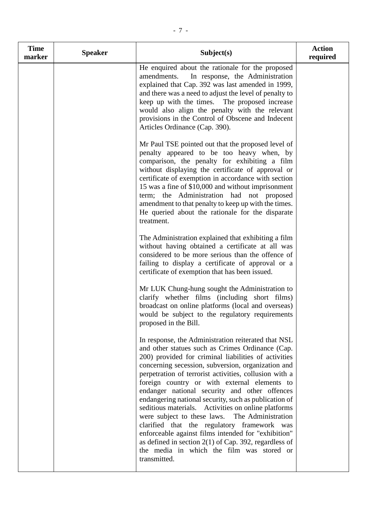| <b>Time</b><br>marker | <b>Speaker</b> | Subject(s)                                                                                                                                                                                                                                                                                                                                                                                                                                                                                                                                                                                                                                                                                                                                                                       | <b>Action</b><br>required |
|-----------------------|----------------|----------------------------------------------------------------------------------------------------------------------------------------------------------------------------------------------------------------------------------------------------------------------------------------------------------------------------------------------------------------------------------------------------------------------------------------------------------------------------------------------------------------------------------------------------------------------------------------------------------------------------------------------------------------------------------------------------------------------------------------------------------------------------------|---------------------------|
|                       |                | He enquired about the rationale for the proposed<br>In response, the Administration<br>amendments.<br>explained that Cap. 392 was last amended in 1999,<br>and there was a need to adjust the level of penalty to<br>keep up with the times. The proposed increase<br>would also align the penalty with the relevant<br>provisions in the Control of Obscene and Indecent<br>Articles Ordinance (Cap. 390).                                                                                                                                                                                                                                                                                                                                                                      |                           |
|                       |                | Mr Paul TSE pointed out that the proposed level of<br>penalty appeared to be too heavy when, by<br>comparison, the penalty for exhibiting a film<br>without displaying the certificate of approval or<br>certificate of exemption in accordance with section<br>15 was a fine of \$10,000 and without imprisonment<br>term; the Administration had not proposed<br>amendment to that penalty to keep up with the times.<br>He queried about the rationale for the disparate<br>treatment.                                                                                                                                                                                                                                                                                        |                           |
|                       |                | The Administration explained that exhibiting a film<br>without having obtained a certificate at all was<br>considered to be more serious than the offence of<br>failing to display a certificate of approval or a<br>certificate of exemption that has been issued.                                                                                                                                                                                                                                                                                                                                                                                                                                                                                                              |                           |
|                       |                | Mr LUK Chung-hung sought the Administration to<br>clarify whether films (including short films)<br>broadcast on online platforms (local and overseas)<br>would be subject to the regulatory requirements<br>proposed in the Bill.                                                                                                                                                                                                                                                                                                                                                                                                                                                                                                                                                |                           |
|                       |                | In response, the Administration reiterated that NSL<br>and other statues such as Crimes Ordinance (Cap.<br>200) provided for criminal liabilities of activities<br>concerning secession, subversion, organization and<br>perpetration of terrorist activities, collusion with a<br>foreign country or with external elements to<br>endanger national security and other offences<br>endangering national security, such as publication of<br>seditious materials. Activities on online platforms<br>were subject to these laws. The Administration<br>clarified that the regulatory framework was<br>enforceable against films intended for "exhibition"<br>as defined in section $2(1)$ of Cap. 392, regardless of<br>the media in which the film was stored or<br>transmitted. |                           |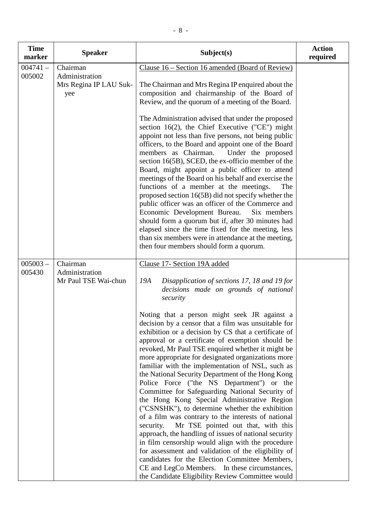| <b>Time</b><br>marker | <b>Speaker</b>                                              | Subject(s)                                                                                                                                                                                                                                                                                                                                                                                                                                                                                                                                                                                                                                                                                                                                                                                                                                                                                                                                                                                                                                                                                                                                                                                                              | <b>Action</b><br>required |
|-----------------------|-------------------------------------------------------------|-------------------------------------------------------------------------------------------------------------------------------------------------------------------------------------------------------------------------------------------------------------------------------------------------------------------------------------------------------------------------------------------------------------------------------------------------------------------------------------------------------------------------------------------------------------------------------------------------------------------------------------------------------------------------------------------------------------------------------------------------------------------------------------------------------------------------------------------------------------------------------------------------------------------------------------------------------------------------------------------------------------------------------------------------------------------------------------------------------------------------------------------------------------------------------------------------------------------------|---------------------------|
| $004741 -$<br>005002  | Chairman<br>Administration<br>Mrs Regina IP LAU Suk-<br>yee | Clause 16 – Section 16 amended (Board of Review)<br>The Chairman and Mrs Regina IP enquired about the<br>composition and chairmanship of the Board of<br>Review, and the quorum of a meeting of the Board.<br>The Administration advised that under the proposed<br>section 16(2), the Chief Executive ("CE") might<br>appoint not less than five persons, not being public<br>officers, to the Board and appoint one of the Board<br>members as Chairman.<br>Under the proposed<br>section 16(5B), SCED, the ex-officio member of the<br>Board, might appoint a public officer to attend<br>meetings of the Board on his behalf and exercise the<br>functions of a member at the meetings.<br>The<br>proposed section 16(5B) did not specify whether the<br>public officer was an officer of the Commerce and<br>Economic Development Bureau.<br>Six members<br>should form a quorum but if, after 30 minutes had<br>elapsed since the time fixed for the meeting, less<br>than six members were in attendance at the meeting,<br>then four members should form a quorum.                                                                                                                                              |                           |
| $005003 -$<br>005430  | Chairman<br>Administration<br>Mr Paul TSE Wai-chun          | Clause 17- Section 19A added<br>Disapplication of sections 17, 18 and 19 for<br>19A<br>decisions made on grounds of national<br>security<br>Noting that a person might seek JR against a<br>decision by a censor that a film was unsuitable for<br>exhibition or a decision by CS that a certificate of<br>approval or a certificate of exemption should be<br>revoked, Mr Paul TSE enquired whether it might be<br>more appropriate for designated organizations more<br>familiar with the implementation of NSL, such as<br>the National Security Department of the Hong Kong<br>Police Force ("the NS Department") or the<br>Committee for Safeguarding National Security of<br>the Hong Kong Special Administrative Region<br>("CSNSHK"), to determine whether the exhibition<br>of a film was contrary to the interests of national<br>security.<br>Mr TSE pointed out that, with this<br>approach, the handling of issues of national security<br>in film censorship would align with the procedure<br>for assessment and validation of the eligibility of<br>candidates for the Election Committee Members,<br>CE and LegCo Members. In these circumstances,<br>the Candidate Eligibility Review Committee would |                           |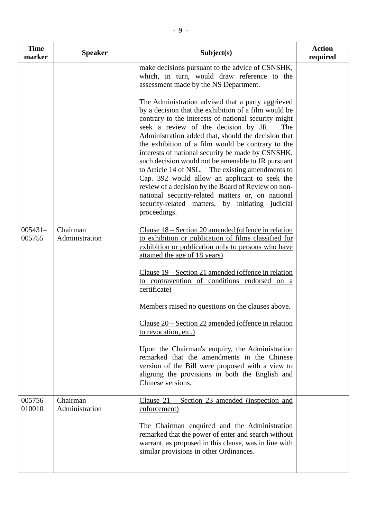| <b>Time</b><br>marker | <b>Speaker</b>             | Subject(s)                                                                                                                                                                                                                                                                                                                                                                                                                                                                                                                                                                                                                                                                                                                   | <b>Action</b><br>required |
|-----------------------|----------------------------|------------------------------------------------------------------------------------------------------------------------------------------------------------------------------------------------------------------------------------------------------------------------------------------------------------------------------------------------------------------------------------------------------------------------------------------------------------------------------------------------------------------------------------------------------------------------------------------------------------------------------------------------------------------------------------------------------------------------------|---------------------------|
|                       |                            | make decisions pursuant to the advice of CSNSHK,<br>which, in turn, would draw reference to the<br>assessment made by the NS Department.                                                                                                                                                                                                                                                                                                                                                                                                                                                                                                                                                                                     |                           |
|                       |                            | The Administration advised that a party aggrieved<br>by a decision that the exhibition of a film would be<br>contrary to the interests of national security might<br>seek a review of the decision by JR.<br>The<br>Administration added that, should the decision that<br>the exhibition of a film would be contrary to the<br>interests of national security be made by CSNSHK,<br>such decision would not be amenable to JR pursuant<br>to Article 14 of NSL. The existing amendments to<br>Cap. 392 would allow an applicant to seek the<br>review of a decision by the Board of Review on non-<br>national security-related matters or, on national<br>security-related matters, by initiating judicial<br>proceedings. |                           |
| $005431-$<br>005755   | Chairman<br>Administration | Clause $18 -$ Section 20 amended (offence in relation<br>to exhibition or publication of films classified for<br>exhibition or publication only to persons who have<br>attained the age of 18 years)                                                                                                                                                                                                                                                                                                                                                                                                                                                                                                                         |                           |
|                       |                            | <u>Clause 19 – Section 21 amended (offence in relation</u><br>to contravention of conditions endorsed on a<br>certificate)                                                                                                                                                                                                                                                                                                                                                                                                                                                                                                                                                                                                   |                           |
|                       |                            | Members raised no questions on the clauses above.                                                                                                                                                                                                                                                                                                                                                                                                                                                                                                                                                                                                                                                                            |                           |
|                       |                            | Clause $20$ – Section 22 amended (offence in relation<br>to revocation, etc.)                                                                                                                                                                                                                                                                                                                                                                                                                                                                                                                                                                                                                                                |                           |
|                       |                            | Upon the Chairman's enquiry, the Administration<br>remarked that the amendments in the Chinese<br>version of the Bill were proposed with a view to<br>aligning the provisions in both the English and<br>Chinese versions.                                                                                                                                                                                                                                                                                                                                                                                                                                                                                                   |                           |
| $005756 -$<br>010010  | Chairman<br>Administration | Clause $21$ – Section 23 amended (inspection and<br>enforcement)                                                                                                                                                                                                                                                                                                                                                                                                                                                                                                                                                                                                                                                             |                           |
|                       |                            | The Chairman enquired and the Administration<br>remarked that the power of enter and search without<br>warrant, as proposed in this clause, was in line with<br>similar provisions in other Ordinances.                                                                                                                                                                                                                                                                                                                                                                                                                                                                                                                      |                           |